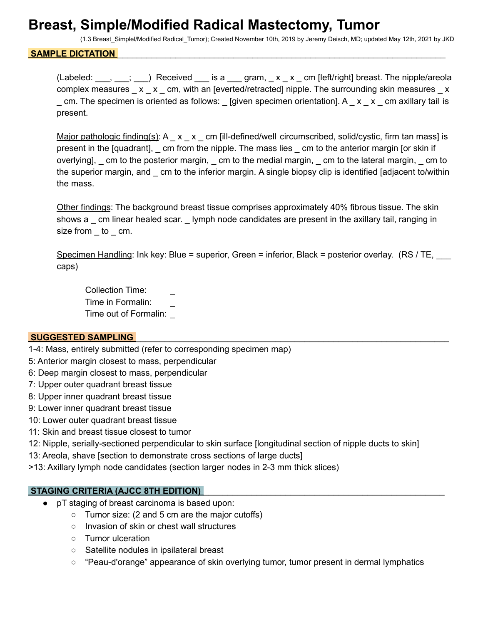## **Breast, Simple/Modified Radical Mastectomy, Tumor**

(1.3 Breast\_Simplel/Modified Radical\_Tumor); Created November 10th, 2019 by Jeremy Deisch, MD; updated May 12th, 2021 by JKD

#### SAMPLE DICTATION

(Labeled:  $\ldots$ ,  $\ldots$ ;  $\ldots$ ) Received is a gram, x x cm [left/right] breast. The nipple/areola complex measures  $\_\ x_\_\ x_\_\$ cm, with an [everted/retracted] nipple. The surrounding skin measures  $\_\ x$  $\_$  cm. The specimen is oriented as follows:  $\_$  [given specimen orientation]. A  $\_$  x  $\_$  x  $\_$  cm axillary tail is present.

Major pathologic finding(s): A  $\bar{x}$   $\bar{x}$  cm [ill-defined/well circumscribed, solid/cystic, firm tan mass] is present in the [quadrant], cm from the nipple. The mass lies cm to the anterior margin [or skin if overlying], \_ cm to the posterior margin, \_ cm to the medial margin, \_ cm to the lateral margin, \_ cm to the superior margin, and \_ cm to the inferior margin. A single biopsy clip is identified [adjacent to/within the mass.

Other findings: The background breast tissue comprises approximately 40% fibrous tissue. The skin shows a cm linear healed scar. Iymph node candidates are present in the axillary tail, ranging in size from \_ to \_ cm.

Specimen Handling: Ink key: Blue = superior, Green = inferior, Black = posterior overlay. (RS / TE, caps)

Collection Time: Time in Formalin: Time out of Formalin: \_

#### **SUGGESTED SAMPLING**

- 1-4: Mass, entirely submitted (refer to corresponding specimen map)
- 5: Anterior margin closest to mass, perpendicular
- 6: Deep margin closest to mass, perpendicular
- 7: Upper outer quadrant breast tissue
- 8: Upper inner quadrant breast tissue
- 9: Lower inner quadrant breast tissue
- 10: Lower outer quadrant breast tissue
- 11: Skin and breast tissue closest to tumor

12: Nipple, serially-sectioned perpendicular to skin surface [longitudinal section of nipple ducts to skin]

13: Areola, shave [section to demonstrate cross sections of large ducts]

>13: Axillary lymph node candidates (section larger nodes in 2-3 mm thick slices)

#### **STAGING CRITERIA (AJCC 8TH EDITION)**

- pT staging of breast carcinoma is based upon:
	- Tumor size: (2 and 5 cm are the major cutoffs)
	- Invasion of skin or chest wall structures
	- Tumor ulceration
	- Satellite nodules in ipsilateral breast
	- "Peau-d'orange" appearance of skin overlying tumor, tumor present in dermal lymphatics